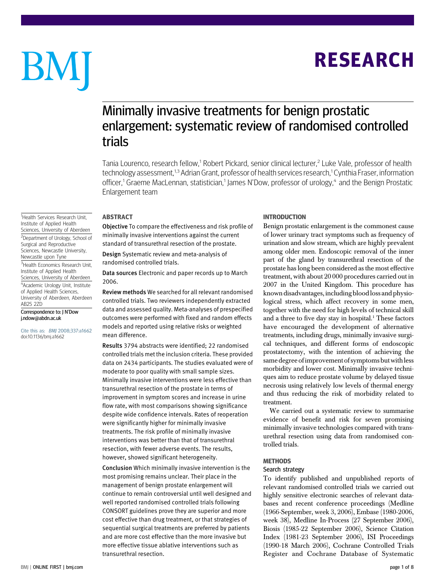# **RESEARCH** RESEARCH

# BM

# Minimally invasive treatments for benign prostatic enlargement: systematic review of randomised controlled trials

Tania Lourenco, research fellow,<sup>1</sup> Robert Pickard, senior clinical lecturer,<sup>2</sup> Luke Vale, professor of health technology assessment,<sup>1,3</sup> Adrian Grant, professor of health services research,<sup>1</sup> Cynthia Fraser, information officer,<sup>1</sup> Graeme MacLennan, statistician,<sup>1</sup> James N'Dow, professor of urology,<sup>4</sup> and the Benign Prostatic Enlargement team

Objective To compare the effectiveness and risk profile of minimally invasive interventions against the current standard of transurethral resection of the prostate.

Design Systematic review and meta-analysis of randomised controlled trials.

Data sources Electronic and paper records up to March 2006.

Review methods We searched for all relevant randomised controlled trials. Two reviewers independently extracted data and assessed quality. Meta-analyses of prespecified outcomes were performed with fixed and random effects models and reported using relative risks or weighted mean difference.

Results 3794 abstracts were identified; 22 randomised controlled trials met the inclusion criteria. These provided data on 2434 participants. The studies evaluated were of moderate to poor quality with small sample sizes. Minimally invasive interventions were less effective than transurethral resection of the prostate in terms of improvement in symptom scores and increase in urine flow rate, with most comparisons showing significance despite wide confidence intervals. Rates of reoperation were significantly higher for minimally invasive treatments. The risk profile of minimally invasive interventions was better than that of transurethral resection, with fewer adverse events. The results, however, showed significant heterogeneity.

Conclusion Which minimally invasive intervention is the most promising remains unclear. Their place in the management of benign prostate enlargement will continue to remain controversial until well designed and well reported randomised controlled trials following CONSORT guidelines prove they are superior and more cost effective than drug treatment, or that strategies of sequential surgical treatments are preferred by patients and are more cost effective than the more invasive but more effective tissue ablative interventions such as transurethral resection.

Benign prostatic enlargement is the commonest cause of lower urinary tract symptoms such as frequency of urination and slow stream, which are highly prevalent among older men. Endoscopic removal of the inner part of the gland by transurethral resection of the prostate has long been considered as the most effective treatment, with about 20 000 procedures carried out in 2007 in the United Kingdom. This procedure has known disadvantages, including blood loss and physiological stress, which affect recovery in some men, together with the need for high levels of technical skill and a three to five day stay in hospital.<sup>1</sup> These factors have encouraged the development of alternative treatments, including drugs, minimally invasive surgical techniques, and different forms of endoscopic prostatectomy, with the intention of achieving the same degree of improvement of symptoms but with less morbidity and lower cost. Minimally invasive techniques aim to reduce prostate volume by delayed tissue necrosis using relatively low levels of thermal energy and thus reducing the risk of morbidity related to treatment.

We carried out a systematic review to summarise evidence of benefit and risk for seven promising minimally invasive technologies compared with transurethral resection using data from randomised controlled trials.

## Search strategy

To identify published and unpublished reports of relevant randomised controlled trials we carried out highly sensitive electronic searches of relevant databases and recent conference proceedings (Medline (1966-September, week 3, 2006), Embase (1980-2006, week 38), Medline In-Process (27 September 2006), Biosis (1985-22 September 2006), Science Citation Index (1981-23 September 2006), ISI Proceedings (1990-18 March 2006), Cochrane Controlled Trials Register and Cochrane Database of Systematic

<sup>1</sup>Health Services Research Unit, Institute of Applied Health Sciences, University of Aberdeen <sup>2</sup>Department of Urology, School of Surgical and Reproductive Sciences, Newcastle University Newcastle upon Tyne <sup>3</sup>Health Economics Research Unit, Institute of Applied Health Sciences, University of Aberdeen <sup>4</sup>Academic Urology Unit, Institute of Applied Health Sciences, University of Aberdeen, Aberdeen AB25 2ZD

Correspondence to: J N'Dow j.ndow@abdn.ac.uk

Cite this as: BMJ 2008;337:a1662 doi:10.1136/bmj.a1662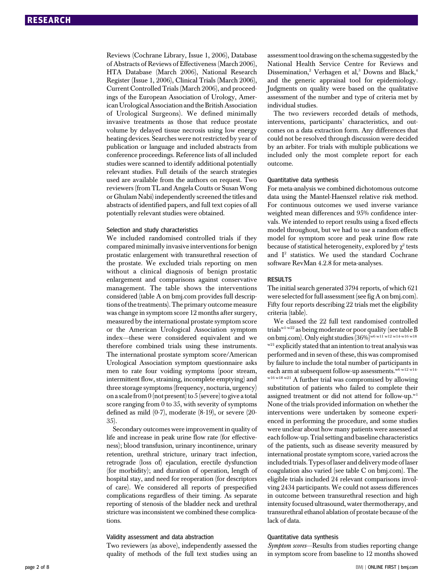Reviews (Cochrane Library, Issue 1, 2006), Database of Abstracts of Reviews of Effectiveness (March 2006), HTA Database (March 2006), National Research Register (Issue 1, 2006), Clinical Trials (March 2006), Current Controlled Trials (March 2006), and proceedings of the European Association of Urology, American Urological Association and the British Association of Urological Surgeons). We defined minimally invasive treatments as those that reduce prostate volume by delayed tissue necrosis using low energy heating devices. Searches were not restricted by year of publication or language and included abstracts from conference proceedings. Reference lists of all included studies were scanned to identify additional potentially relevant studies. Full details of the search strategies used are available from the authors on request. Two reviewers (from TL and Angela Coutts or Susan Wong or Ghulam Nabi) independently screened the titles and abstracts of identified papers, and full text copies of all potentially relevant studies were obtained.

#### Selection and study characteristics

We included randomised controlled trials if they compared minimally invasive interventions for benign prostatic enlargement with transurethral resection of the prostate. We excluded trials reporting on men without a clinical diagnosis of benign prostatic enlargement and comparisons against conservative management. The table shows the interventions considered (table A on bmj.com provides full descriptions of the treatments). The primary outcome measure was change in symptom score 12 months after surgery, measured by the international prostate symptom score or the American Urological Association symptom index—these were considered equivalent and we therefore combined trials using these instruments. The international prostate symptom score/American Urological Association symptom questionnaire asks men to rate four voiding symptoms (poor stream, intermittent flow, straining, incomplete emptying) and three storage symptoms (frequency, nocturia, urgency) on a scale from  $0$  (not present) to 5 (severe) to give a total score ranging from 0 to 35, with severity of symptoms defined as mild (0-7), moderate (8-19), or severe (20- 35).

Secondary outcomes were improvement in quality of life and increase in peak urine flow rate (for effectiveness); blood transfusion, urinary incontinence, urinary retention, urethral stricture, urinary tract infection, retrograde (loss of) ejaculation, erectile dysfunction (for morbidity); and duration of operation, length of hospital stay, and need for reoperation (for descriptors of care). We considered all reports of prespecified complications regardless of their timing. As separate reporting of stenosis of the bladder neck and urethral stricture was inconsistent we combined these complications.

#### Validity assessment and data abstraction

Two reviewers (as above), independently assessed the quality of methods of the full text studies using an

assessment tool drawing on the schema suggested by the National Health Service Centre for Reviews and Dissemination,<sup>2</sup> Verhagen et al,<sup>3</sup> Downs and Black,<sup>4</sup> and the generic appraisal tool for epidemiology. Judgments on quality were based on the qualitative assessment of the number and type of criteria met by individual studies.

The two reviewers recorded details of methods, interventions, participants' characteristics, and outcomes on a data extraction form. Any differences that could not be resolved through discussion were decided by an arbiter. For trials with multiple publications we included only the most complete report for each outcome.

#### Quantitative data synthesis

For meta-analysis we combined dichotomous outcome data using the Mantel-Haenszel relative risk method. For continuous outcomes we used inverse variance weighted mean differences and 95% confidence intervals. We intended to report results using a fixed effects model throughout, but we had to use a random effects model for symptom score and peak urine flow rate because of statistical heterogeneity, explored by  $\chi^2$  tests and  $I^2$  statistics. We used the standard Cochrane software RevMan 4.2.8 for meta-analyses.

#### **RESIII TS**

The initial search generated 3794 reports, of which 621 were selected for full assessment (see fig A on bmj.com). Fifty four reports describing 22 trials met the eligibility criteria (table).

We classed the 22 full text randomised controlled trialsw1-w22 as being moderate or poor quality (see table B on bmj.com). Only eight studies  $(36\%)^{\rm w6 \, w11 \, w12 \, w14 \, w16 \, w18}$ w<sup>21</sup> explicitly stated that an intention to treat analysis was performed and in seven of these, this was compromised by failure to include the total number of participants in each arm at subsequent follow-up assessments. $^{\rm w6 \, w12 \, w14-}$ w<sup>16 w18 w21</sup> A further trial was compromised by allowing substitution of patients who failed to complete their assigned treatment or did not attend for follow-up. $w<sup>1</sup>$ None of the trials provided information on whether the interventions were undertaken by someone experienced in performing the procedure, and some studies were unclear about how many patients were assessed at each follow-up. Trial setting and baseline characteristics of the patients, such as disease severity measured by international prostate symptom score, varied across the included trials. Types of laser and delivery mode of laser coagulation also varied (see table C on bmj.com). The eligible trials included 24 relevant comparisons involving 2434 participants. We could not assess differences in outcome between transurethral resection and high intensity focused ultrasound, water thermotherapy, and transurethral ethanol ablation of prostate because of the lack of data.

#### Quantitative data synthesis

Symptom scores—Results from studies reporting change in symptom score from baseline to 12 months showed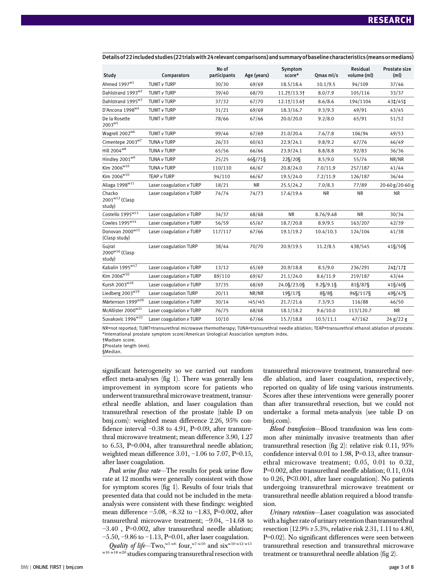| Study                                        | Comparators              | No of<br>participants | Age (years) | Symptom<br>score* | Qmax ml/s        | Residual<br>volume (ml) | <b>Prostate size</b><br>(m <sub>l</sub> ) |
|----------------------------------------------|--------------------------|-----------------------|-------------|-------------------|------------------|-------------------------|-------------------------------------------|
| Ahmed 1997 <sup>w1</sup>                     | TUMT v TURP              | 30/30                 | 69/69       | 18.5/18.4         | 10.1/9.5         | 94/109                  | 37/46                                     |
| Dahlstrand 1993 <sup>w2</sup>                | TUMT v TURP              | 39/40                 | 68/70       | 11.2†/13.3†       | 8.0/7.9          | 105/116                 | 33/37                                     |
| Dahlstrand 1995 <sup>w3</sup>                | TUMT v TURP              | 37/32                 | 67/70       | 12.1+/13.6+       | 8.6/8.6          | 194/1104                | 43‡/45‡                                   |
| D'Ancona 1998 <sup>w4</sup>                  | TUMT v TURP              | 31/21                 | 69/69       | 18.3/16.7         | 9.3/9.3          | 49/91                   | 43/45                                     |
| De la Rosette<br>2003 <sup>w5</sup>          | TUMT v TURP              | 78/66                 | 67/66       | 20.0/20.0         | 9.2/8.0          | 65/91                   | 51/52                                     |
| Wagrell 2002 <sup>w6</sup>                   | TUMT v TURP              | 99/46                 | 67/69       | 21.0/20.4         | 7.6/7.8          | 106/94                  | 49/53                                     |
| Cimentepe 2003 <sup>w7</sup>                 | TUNA v TURP              | 26/33                 | 60/63       | 22.9/24.1         | 9.8/9.2          | 67/76                   | 46/49                                     |
| Hill 2004 <sup>w8</sup>                      | TUNA v TURP              | 65/56                 | 66/66       | 23.9/24.1         | 8.8/8.8          | 92/83                   | 36/36                                     |
| Hindley 2001 <sup>w9</sup>                   | TUNA v TURP              | 25/25                 | 66§/71§     | 22§/20§           | 8.5/9.0          | 55/74                   | NR/NR                                     |
| Kim 2006 <sup>w10</sup>                      | TUNA v TURP              | 110/110               | 66/67       | 20.8/24.0         | 7.0/11.9         | 257/187                 | 41/44                                     |
| Kim 2006 <sup>w10</sup>                      | TEAP v TURP              | 94/110                | 66/67       | 19.5/24.0         | 7.2/11.9         | 126/187                 | 36/44                                     |
| Aliaga 1998 <sup>w11</sup>                   | Laser coagulation v TURP | 18/21                 | <b>NR</b>   | 25.5/24.2         | 7.0/8.3          | 77/89                   | 20-60 g/20-60 g                           |
| Chacko<br>$2001w12$ (Clasp<br>study)         | Laser coagulation v TURP | 74/74                 | 74/73       | 17.6/19.4         | <b>NR</b>        | <b>NR</b>               | <b>NR</b>                                 |
| Costello 1995 <sup>w13</sup>                 | Laser coagulation v TURP | 34/37                 | 68/68       | <b>NR</b>         | 8.76/9.48        | <b>NR</b>               | 30/34                                     |
| Cowles 1995 <sup>w14</sup>                   | Laser coagulation v TURP | 56/59                 | 65/67       | 18.7/20.8         | 8.9/9.5          | 163/207                 | 42/39                                     |
| Donovan 2000 <sup>w15</sup><br>(Clasp study) | Laser coagulation v TURP | 117/117               | 67/66       | 19.1/19.2         | 10.4/10.3        | 124/104                 | 41/38                                     |
| Gujral<br>$2000^{w16}$ (Clasp<br>study)      | Laser coagulation TURP   | 38/44                 | 70/70       | 20.9/19.5         | 11.2/8.5         | 438/545                 | 41§/50§                                   |
| Kabalin 1995 <sup>w17</sup>                  | Laser coagulation v TURP | 13/12                 | 65/69       | 20.9/18.8         | 8.5/9.0          | 236/291                 | 24‡/17‡                                   |
| Kim 2006 $w10$                               | Laser coagulation v TURP | 89/110                | 69/67       | 21.1/24.0         | 8.6/11.9         | 219/187                 | 43/44                                     |
| Kursh 2003 <sup>w18</sup>                    | Laser coagulation v TURP | 37/35                 | 68/69       | 24.0§/23.0§       | $9.2$ §/ $9.1$ § | 81§/87§                 | 41§/40§                                   |
| Liedberg 2003 <sup>w19</sup>                 | Laser coagulation TURP   | 20/11                 | NR/NR       | 19§/17§           | $8$ §/ $8$ §     | 96§/117§                | 49§/47§                                   |
| Mårtenson 1999 <sup>w20</sup>                | Laser coagulation v TURP | 30/14                 | 345/345     | 21.7/21.6         | 7.3/9.3          | 116/88                  | 46/50                                     |
| McAllister 2000 <sup>w21</sup>               | Laser coagulation v TURP | 76/75                 | 68/68       | 18.1/18.2         | 9.6/10.0         | 113/120.7               | <b>NR</b>                                 |
| Suvakovic 1996 <sup>w22</sup>                | Laser coagulation v TURP | 10/10                 | 67/66       | 15.7/18.8         | 10.5/11.1        | 47/162                  | 24 g/22 g                                 |

Details of 22 included studies (22 trials with 24 relevant comparisons) and summary of baseline characteristics (means or medians)

NR=not reported; TUMT=transurethral microwave thermotherapy; TUNA=transurethral needle ablation; TEAP=transurethral ethanol ablation of prostate. \*International prostate symptom score/American Urological Association symptom index.

†Madsen score. ‡Prostate length (mm).

§Median.

significant heterogeneity so we carried out random effect meta-analyses (fig 1). There was generally less improvement in symptom score for patients who underwent transurethral microwave treatment, transurethral needle ablation, and laser coagulation than transurethral resection of the prostate (table D on bmj.com): weighted mean difference 2.26, 95% confidence interval −0.38 to 4.91, P=0.09, after transurethral microwave treatment; mean difference 3.90, 1.27 to 6.53, P=0.004, after transurethral needle ablation; weighted mean difference 3.01, −1.06 to 7.07, P=0.15, after laser coagulation.

Peak urine flow rate—The results for peak urine flow rate at 12 months were generally consistent with those for symptom scores (fig 1). Results of four trials that presented data that could not be included in the metaanalysis were consistent with these findings: weighted mean difference −5.08, −8.32 to −1.83, P=0.002, after transurethral microwave treatment; −9.04, −14.68 to −3.40 , P=0.002, after transurethral needle ablation; −5.50, −9.86 to −1.13, P=0.01, after laser coagulation. Quality of life-Two,<sup>w5 w6</sup> four,<sup>w7-w10</sup> and six<sup>w10 w12 w15</sup>

w16 w18 w20 studies comparing transurethral resection with

transurethral microwave treatment, transurethral needle ablation, and laser coagulation, respectively, reported on quality of life using various instruments. Scores after these interventions were generally poorer than after transurethral resection, but we could not undertake a formal meta-analysis (see table D on bmj.com).

Blood transfusion—Blood transfusion was less common after minimally invasive treatments than after transurethral resection (fig 2): relative risk 0.11, 95% confidence interval 0.01 to 1.98, P=0.13, after transurethral microwave treatment; 0.05, 0.01 to 0.32, P=0.002, after transurethral needle ablation; 0.11, 0.04 to 0.26, P<0.001, after laser coagulation). No patients undergoing transurethral microwave treatment or transurethral needle ablation required a blood transfusion.

Urinary retention—Laser coagulation was associated with a higher rate of urinary retention than transurethral resection (12.9% v 5.3%, relative risk 2.31, 1.11 to 4.80, P=0.02). No significant differences were seen between transurethral resection and transurethral microwave treatment or transurethral needle ablation (fig 2).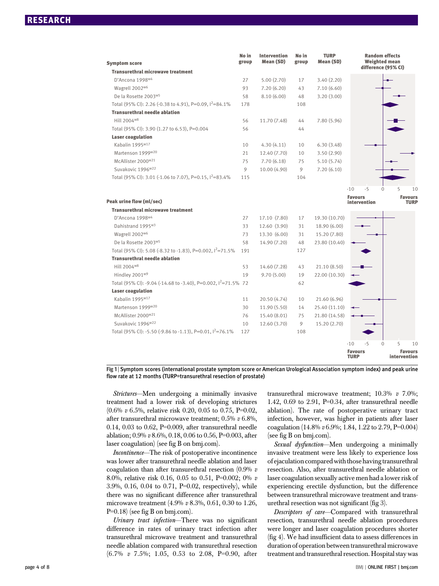| <b>Symptom score</b>                                                  | No in<br>group | <b>Intervention</b><br>Mean (SD) | No in<br>group | <b>TURP</b><br>Mean (SD) |                               | <b>Random effects</b><br><b>Weighted mean</b> |              |                |
|-----------------------------------------------------------------------|----------------|----------------------------------|----------------|--------------------------|-------------------------------|-----------------------------------------------|--------------|----------------|
| <b>Transurethral microwave treatment</b>                              |                |                                  |                |                          |                               | difference (95% CI)                           |              |                |
| D'Ancona 1998 <sup>w4</sup>                                           | 27             | 5.00(2.70)                       | 17             | 3.40(2.20)               |                               |                                               |              |                |
| Wagrell 2002 <sup>w6</sup>                                            | 93             | 7.20(6.20)                       | 43             | 7.10(6.60)               |                               |                                               |              |                |
| De la Rosette 2003 <sup>w5</sup>                                      | 58             | 8.10(6.00)                       | 48             | 3.20(3.00)               |                               |                                               |              |                |
| Total (95% Cl): 2.26 (-0.38 to 4.91), P=0.09, $1^2$ =84.1%            | 178            |                                  | 108            |                          |                               |                                               |              |                |
| <b>Transurethral needle ablation</b>                                  |                |                                  |                |                          |                               |                                               |              |                |
| Hill 2004 <sup>w8</sup>                                               | 56             | 11.70 (7.48)                     | 44             | 7.80(5.96)               |                               |                                               |              |                |
| Total (95% Cl): 3.90 (1.27 to 6.53), P=0.004                          | 56             |                                  | 44             |                          |                               |                                               |              |                |
| <b>Laser coagulation</b>                                              |                |                                  |                |                          |                               |                                               |              |                |
| Kabalin 1995 <sup>w17</sup>                                           | 10             | 4.30(4.11)                       | 10             | 6.30(3.48)               |                               |                                               |              |                |
| Martenson 1999w20                                                     | 21             | 12.40 (7.70)                     | 10             | 3.50(2.90)               |                               |                                               |              |                |
| McAllister 2000 <sup>w21</sup>                                        | 75             | 7.70(6.18)                       | 75             | 5.10(5.74)               |                               |                                               |              |                |
| Suvakovic 1996 <sup>w22</sup>                                         | 9              | 10.00 (4.90)                     | 9              | 7.20(6.10)               |                               |                                               |              |                |
| Total (95% Cl): 3.01 (-1.06 to 7.07), P=0.15, I <sup>2</sup> =83.4%   | 115            |                                  | 104            |                          |                               |                                               |              |                |
|                                                                       |                |                                  |                |                          | $-5$<br>$-10$                 | $\Omega$                                      | 5            | 10             |
|                                                                       |                |                                  |                |                          | <b>Favours</b>                |                                               |              | <b>Favours</b> |
| Peak urine flow (ml/sec)                                              |                |                                  |                |                          | intervention                  |                                               |              | <b>TURP</b>    |
| <b>Transurethral microwave treatment</b>                              |                |                                  |                |                          |                               |                                               |              |                |
| D'Ancona 1998 <sup>w4</sup>                                           | 27             | 17.10 (7.80)                     | 17             | 19.30 (10.70)            |                               |                                               |              |                |
| Dahistrand 1995 <sup>w3</sup>                                         | 33             | 12.60 (3.90)                     | 31             | 18.90 (6.00)             |                               |                                               |              |                |
| Wagrell 2002 <sup>w6</sup>                                            | 73             | 13.30 (6.00)                     | 31             | 15.20 (7.80)             |                               |                                               |              |                |
| De la Rosette 2003 <sup>w5</sup>                                      | 58             | 14.90 (7.20)                     | 48             | 23.80 (10.40)            |                               |                                               |              |                |
| Total (95% Cl): 5.08 (-8.32 to -1.83), P=0.002, l <sup>2</sup> =71.5% | 191            |                                  | 127            |                          |                               |                                               |              |                |
| <b>Transurethral needle ablation</b>                                  |                |                                  |                |                          |                               |                                               |              |                |
| Hill 2004 <sup>w8</sup>                                               | 53             | 14.60 (7.28)                     | 43             | 21.10 (8.50)             |                               |                                               |              |                |
| Hindley 2001 <sup>w9</sup>                                            | 19             | 9.70(5.00)                       | 19             | 22.00 (10.30)            |                               |                                               |              |                |
| Total (95% Cl): -9.04 (-14.68 to -3.40), P=0.002, $1^2$ =71.5% 72     |                |                                  | 62             |                          |                               |                                               |              |                |
| <b>Laser coagulation</b>                                              |                |                                  |                |                          |                               |                                               |              |                |
| Kabalin 1995w17                                                       | 11             | 20.50 (4.74)                     | 10             | 21.60 (6.96)             |                               |                                               |              |                |
| Martenson 1999w20                                                     | 30             | 11.90(5.50)                      | 14             | 25.40 (11.10)            |                               |                                               |              |                |
| McAllister 2000 <sup>w21</sup>                                        | 76             | 15.40 (8.01)                     | 75             | 21.80 (14.58)            |                               |                                               |              |                |
| Suvakovic 1996w22                                                     | 10             | 12.60 (3.70)                     | 9              | 15.20 (2.70)             |                               |                                               |              |                |
| Total (95% Cl): -5.50 (-9.86 to -1.13), P=0.01, l <sup>2</sup> =76.1% | 127            |                                  | 108            |                          |                               |                                               |              |                |
|                                                                       |                |                                  |                |                          | $-5$<br>$-10$                 | $\Omega$                                      | 5            | 10             |
|                                                                       |                |                                  |                |                          | <b>Favours</b><br><b>TURP</b> |                                               | intervention | <b>Favours</b> |

Fig 1 <sup>|</sup> Symptom scores (international prostate symptom score or American Urological Association symptom index) and peak urine flow rate at 12 months (TURP=transurethral resection of prostate)

Strictures—Men undergoing a minimally invasive treatment had a lower risk of developing strictures (0.6% v 6.5%, relative risk 0.20, 0.05 to 0.75, P=0.02, after transurethral microwave treatment;  $0.5\%$  v  $6.8\%$ , 0.14, 0.03 to 0.62, P=0.009, after transurethral needle ablation; 0.9% v 8.6%, 0.18, 0.06 to 0.56, P=0.003, after laser coagulation) (see fig B on bmj.com).

Incontinence—The risk of postoperative incontinence was lower after transurethral needle ablation and laser coagulation than after transurethral resection (0.9% v 8.0%, relative risk 0.16, 0.05 to 0.51, P=0.002; 0% v 3.9%, 0.16, 0.04 to 0.71, P=0.02, respectively), while there was no significant difference after transurethral microwave treatment (4.9% v 8.3%, 0.61, 0.30 to 1.26, P=0.18) (see fig B on bmj.com).

Urinary tract infection—There was no significant difference in rates of urinary tract infection after transurethral microwave treatment and transurethral needle ablation compared with transurethral resection  $(6.7\% \text{ v } 7.5\%; 1.05, 0.53 \text{ to } 2.08, \text{ P=0.90, after})$  transurethral microwave treatment;  $10.3\%$  v  $7.0\%$ ; 1.42, 0.69 to 2.91, P=0.34, after transurethral needle ablation). The rate of postoperative urinary tract infection, however, was higher in patients after laser coagulation (14.8% v 6.9%; 1.84, 1.22 to 2.79, P=0.004) (see fig B on bmj.com).

Sexual dysfunction—Men undergoing a minimally invasive treatment were less likely to experience loss of ejaculation compared with those having transurethral resection. Also, after transurethral needle ablation or laser coagulation sexually active men had a lower risk of experiencing erectile dysfunction, but the difference between transurethral microwave treatment and transurethral resection was not significant (fig 3).

Descriptors of care—Compared with transurethral resection, transurethral needle ablation procedures were longer and laser coagulation procedures shorter (fig 4). We had insufficient data to assess differences in duration of operation between transurethral microwave treatment and transurethral resection. Hospital stay was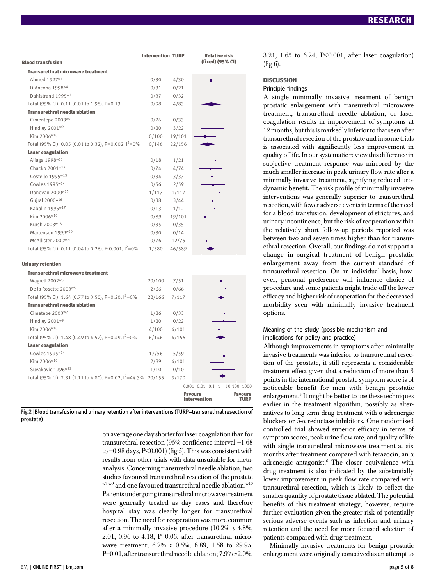|                                                                  | <b>Intervention TURP</b> |        | <b>Relative risk</b>                  |
|------------------------------------------------------------------|--------------------------|--------|---------------------------------------|
| <b>Blood transfusion</b>                                         |                          |        | (fixed) (95% CI)                      |
| <b>Transurethral microwave treatment</b>                         |                          |        |                                       |
| Ahmed 1997 <sup>w1</sup>                                         | 0/30                     | 4/30   |                                       |
| D'Ancona 1998 <sup>w4</sup>                                      | 0/31                     | 0/21   |                                       |
| Dahistrand 1995 <sup>w3</sup>                                    | 0/37                     | 0/32   |                                       |
| Total (95% Cl): 0.11 (0.01 to 1.98), P=0.13                      | 0/98                     | 4/83   |                                       |
| <b>Transurethral needle ablation</b>                             |                          |        |                                       |
| Cimentepe 2003 <sup>w7</sup>                                     | 0/26                     | 0/33   |                                       |
| Hindley 2001 <sup>w9</sup>                                       | 0/20                     | 3/22   |                                       |
| Kim 2006 <sup>w10</sup>                                          | 0/100                    | 19/101 |                                       |
| Total (95% Cl): 0.05 (0.01 to 0.32), P=0.002, $1^2$ =0%          | 0/146                    | 22/156 |                                       |
| <b>Laser coagulation</b>                                         |                          |        |                                       |
| Aliaga 1998 <sup>w11</sup>                                       | 0/18                     | 1/21   |                                       |
| Chacko 2001 <sup>w12</sup>                                       | 0/74                     | 4/74   |                                       |
| Costello 1995 <sup>w13</sup>                                     | 0/34                     | 3/37   |                                       |
| Cowles 1995 <sup>w14</sup>                                       | 0/56                     | 2/59   |                                       |
| Donovan 2000w15                                                  | 1/117                    | 1/117  |                                       |
| Gujral 2000 <sup>w16</sup>                                       | 0/38                     | 3/44   |                                       |
| Kabalin 1995w17                                                  | 0/13                     | 1/12   |                                       |
| Kim 2006 <sup>w10</sup>                                          | 0/89                     | 19/101 |                                       |
| Kursh 2003 <sup>w18</sup>                                        | 0/35                     | 0/35   |                                       |
| Martenson 1999w20                                                | 0/30                     | 0/14   |                                       |
| McAllister 2000 <sup>w21</sup>                                   | 0/76                     | 12/75  |                                       |
| Total (95% Cl): 0.11 (0.04 to 0.26), P<0.001, l <sup>2</sup> =0% | 1/580                    | 46/589 |                                       |
| <b>Urinary retention</b>                                         |                          |        |                                       |
| <b>Transurethral microwave treatment</b>                         |                          |        |                                       |
| Wagrell 2002 <sup>w6</sup>                                       | 20/100                   | 7/51   |                                       |
| De la Rosette 2003 <sup>w5</sup>                                 | 2/66                     | 0/66   |                                       |
| Total (95% CI): 1.64 (0.77 to 3.50), P=0.20, $I^2=0\%$           | 22/166                   | 7/117  |                                       |
| <b>Transurethral needle ablation</b>                             |                          |        |                                       |
| Cimetepe 2003 <sup>w7</sup>                                      | 1/26                     | 0/33   |                                       |
| Hindley 2001 <sup>w9</sup>                                       | 1/20                     | 0/22   |                                       |
| Kim 2006 <sup>w10</sup>                                          | 4/100                    | 4/101  |                                       |
| Total (95% CI): 1.48 (0.49 to 4.52), P=0.49, I <sup>2</sup> =0%  | 6/146                    | 4/156  |                                       |
| <b>Laser coagulation</b>                                         |                          |        |                                       |
| Cowles 1995 <sup>w14</sup>                                       | 17/56                    | 5/59   |                                       |
| Kim 2006 <sup>w10</sup>                                          | 2/89                     | 4/101  |                                       |
| Suvakovic 1996w22                                                | 1/10                     | 0/10   |                                       |
| Total (95% CI): 2.31 (1.11 to 4.80), P=0.02, $I^2$ =44.3% 20/155 |                          | 9/170  |                                       |
|                                                                  |                          |        | $0.001$ $0.01$ $0.1$ 1<br>10 100 1000 |
|                                                                  |                          |        | <b>Favours</b><br><b>Favours</b>      |
|                                                                  |                          |        | <b>TIIRP</b><br>intervention          |

Fig 2 <sup>|</sup> Blood transfusion and urinary retention after interventions (TURP=transurethral resection of prostate)

> on average one day shorter for laser coagulation than for transurethral resection (95% confidence interval −1.68 to −0.98 days, P<0.001) (fig 5). This was consistent with results from other trials with data unsuitable for metaanalysis. Concerning transurethral needle ablation, two studies favoured transurethral resection of the prostate w<sup>7</sup> w<sup>9</sup> and one favoured transurethral needle ablation.<sup>w10</sup> Patients undergoing transurethral microwave treatment were generally treated as day cases and therefore hospital stay was clearly longer for transurethral resection. The need for reoperation was more common after a minimally invasive procedure (10.2%  $v$  4.8%, 2.01, 0.96 to 4.18, P=0.06, after transurethral microwave treatment; 6.2% *v* 0.5%, 6.89, 1.58 to 29.95, P=0.01, after transurethral needle ablation;  $7.9\%$   $v2.0\%$ ,

### **DISCUSSION**

## Principle findings

A single minimally invasive treatment of benign prostatic enlargement with transurethral microwave treatment, transurethral needle ablation, or laser coagulation results in improvement of symptoms at 12 months, but this is markedly inferior to that seen after transurethral resection of the prostate and in some trials is associated with significantly less improvement in quality of life. In our systematic review this difference in subjective treatment response was mirrored by the much smaller increase in peak urinary flow rate after a minimally invasive treatment, signifying reduced urodynamic benefit. The risk profile of minimally invasive interventions was generally superior to transurethral resection, with fewer adverse events in terms of the need for a blood transfusion, development of strictures, and urinary incontinence, but the risk of reoperation within the relatively short follow-up periods reported was between two and seven times higher than for transurethral resection. Overall, our findings do not support a change in surgical treatment of benign prostatic enlargement away from the current standard of transurethral resection. On an individual basis, however, personal preference will influence choice of procedure and some patients might trade-off the lower efficacy and higher risk of reoperation for the decreased morbidity seen with minimally invasive treatment options.

### Meaning of the study (possible mechanism and implications for policy and practice)

Although improvements in symptoms after minimally invasive treatments was inferior to transurethral resection of the prostate, it still represents a considerable treatment effect given that a reduction of more than 3 points in the international prostate symptom score is of noticeable benefit for men with benign prostatic enlargement.<sup>5</sup> It might be better to use these techniques earlier in the treatment algorithm, possibly as alternatives to long term drug treatment with α adrenergic blockers or 5-α reductase inhibitors. One randomised controlled trial showed superior efficacy in terms of symptom scores, peak urine flow rate, and quality of life with single transurethral microwave treatment at six months after treatment compared with terazocin, an α adrenergic antagonist.<sup>6</sup> The closer equivalence with drug treatment is also indicated by the substantially lower improvement in peak flow rate compared with transurethral resection, which is likely to reflect the smaller quantity of prostate tissue ablated. The potential benefits of this treatment strategy, however, require further evaluation given the greater risk of potentially serious adverse events such as infection and urinary retention and the need for more focused selection of patients compared with drug treatment.

Minimally invasive treatments for benign prostatic enlargement were originally conceived as an attempt to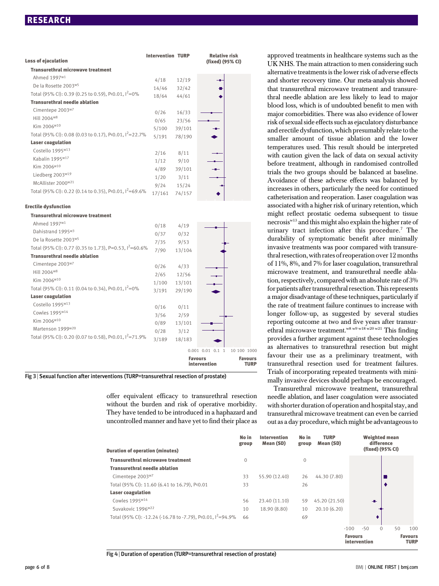| Loss of ejaculation                                       | <b>Intervention TURP</b> |        | <b>Relative risk</b><br>(fixed) (95% CI) |
|-----------------------------------------------------------|--------------------------|--------|------------------------------------------|
| <b>Transurethral microwave treatment</b>                  |                          |        |                                          |
| Ahmed 1997 <sup>w1</sup>                                  | 4/18                     | 12/19  |                                          |
| De la Rosette 2003 <sup>w5</sup>                          | 14/46                    | 32/42  |                                          |
| Total (95% CI): 0.39 (0.25 to 0.59), P<0.01, $I^2=0\%$    | 18/64                    | 44/61  |                                          |
| <b>Transurethral needle ablation</b>                      |                          |        |                                          |
| Cimentepe 2003 <sup>w7</sup>                              | 0/26                     | 16/33  |                                          |
| Hill 2004 <sup>w8</sup>                                   | 0/65                     | 23/56  |                                          |
| Kim 2006 <sup>w10</sup>                                   | 5/100                    | 39/101 |                                          |
| Total (95% CI): 0.08 (0.03 to 0.17), P<0.01, $1^2$ =22.7% | 5/191                    | 78/190 |                                          |
| <b>Laser coagulation</b>                                  |                          |        |                                          |
| Costello 1995w13                                          | 2/16                     | 8/11   |                                          |
| Kabalin 1995 <sup>w17</sup>                               | 1/12                     | 9/10   |                                          |
| Kim 2006 <sup>w10</sup>                                   | 4/89                     | 39/101 |                                          |
| Liedberg 2003 <sup>w19</sup>                              | 1/20                     | 3/11   |                                          |
| McAllister 2000 <sup>w21</sup>                            | 9/24                     | 15/24  |                                          |
| Total (95% CI): 0.22 (0.14 to 0.35), P<0.01, $I^2=69.6\%$ | 17/161                   | 74/157 |                                          |
| <b>Erectile dysfunction</b>                               |                          |        |                                          |
| <b>Transurethral microwave treatment</b>                  |                          |        |                                          |
|                                                           |                          |        |                                          |

| Ahmed 1997 <sup>w1</sup>                                           | 0/18  | 4/19   |                               |
|--------------------------------------------------------------------|-------|--------|-------------------------------|
| Dahistrand 1995 <sup>w3</sup>                                      | 0/37  | 0/32   |                               |
| De la Rosette 2003 <sup>w5</sup>                                   | 7/35  | 9/53   |                               |
| Total (95% Cl): 0.77 (0.35 to 1.73), P=0.53, l <sup>2</sup> =60.6% | 7/90  | 13/104 |                               |
| <b>Transurethral needle ablation</b>                               |       |        |                               |
| Cimentepe 2003 <sup>w7</sup>                                       | 0/26  | 4/33   |                               |
| Hill 2004 <sup>w8</sup>                                            | 2/65  | 12/56  |                               |
| Kim 2006 <sup>w10</sup>                                            | 1/100 | 13/101 |                               |
| Total (95% CI): 0.11 (0.04 to 0.34), P<0.01, $1^2$ =0%             | 3/191 | 29/190 |                               |
| <b>Laser coagulation</b>                                           |       |        |                               |
| Costello 1995w13                                                   | 0/16  | 0/11   |                               |
| Cowles 1995 <sup>w14</sup>                                         | 3/56  | 2/59   |                               |
| Kim 2006 <sup>w10</sup>                                            | 0/89  | 13/101 |                               |
| Martenson 1999w20                                                  |       |        |                               |
| Total (95% CI): 0.20 (0.07 to 0.58), P<0.01, I <sup>2</sup> =71.9% | 0/28  | 3/12   |                               |
|                                                                    | 3/189 | 18/183 |                               |
|                                                                    |       | 0.001  | 1000<br>0.01<br>10 100<br>0.1 |

#### Fig 3 | Sexual function after interventions (TURP=transurethral resection of prostate)

offer equivalent efficacy to transurethral resection without the burden and risk of operative morbidity. They have tended to be introduced in a haphazard and uncontrolled manner and have yet to find their place as

Favours intervention approved treatments in healthcare systems such as the UK NHS. The main attraction to men considering such alternative treatments is the lower risk of adverse effects and shorter recovery time. Our meta-analysis showed that transurethral microwave treatment and transurethral needle ablation are less likely to lead to major blood loss, which is of undoubted benefit to men with major comorbidities. There was also evidence of lower risk of sexual side effects such as ejaculatory disturbance and erectile dysfunction, which presumably relate to the smaller amount of tissue ablation and the lower temperatures used. This result should be interpreted with caution given the lack of data on sexual activity before treatment, although in randomised controlled trials the two groups should be balanced at baseline. Avoidance of these adverse effects was balanced by increases in others, particularly the need for continued catheterisation and reoperation. Laser coagulation was associated with a higher risk of urinary retention, which might reflect prostatic oedema subsequent to tissue necrosisw13 and this might also explain the higher rate of urinary tract infection after this procedure.<sup>7</sup> The durability of symptomatic benefit after minimally invasive treatments was poor compared with transurethral resection, with rates of reoperation over 12 months of 11%, 8%, and 7% for laser coagulation, transurethral microwave treatment, and transurethral needle ablation, respectively, compared with an absolute rate of 3% for patients after transurethral resection. This represents a major disadvantage of these techniques, particularly if the rate of treatment failure continues to increase with longer follow-up, as suggested by several studies reporting outcome at two and five years after transurethral microwave treatment.w8 w9 w18 w20 w21 This finding provides a further argument against these technologies as alternatives to transurethral resection but might favour their use as a preliminary treatment, with transurethral resection used for treatment failures. Trials of incorporating repeated treatments with minimally invasive devices should perhaps be encouraged.

Transurethral microwave treatment, transurethral needle ablation, and laser coagulation were associated with shorter duration of operation and hospital stay, and transurethral microwave treatment can even be carried out as a day procedure, which might be advantageous to

| <b>Duration of operation (minutes)</b>                         | No in<br>group | <b>Intervention</b><br>Mean (SD) | No in<br>group | <b>TURP</b><br>Mean (SD) |                |              | <b>Weighted mean</b><br>difference<br>(fixed) (95% CI) |    |                        |
|----------------------------------------------------------------|----------------|----------------------------------|----------------|--------------------------|----------------|--------------|--------------------------------------------------------|----|------------------------|
| <b>Transurethral microwave treatment</b>                       | $\Omega$       |                                  | $\mathbf{0}$   |                          |                |              |                                                        |    |                        |
| <b>Transurethral needle ablation</b>                           |                |                                  |                |                          |                |              |                                                        |    |                        |
| Cimentepe 2003 <sup>w7</sup>                                   | 33             | 55.90 (12.40)                    | 26             | 44.30 (7.80)             |                |              |                                                        |    |                        |
| Total (95% Cl): 11.60 (6.41 to 16.79), P<0.01                  | 33             |                                  | 26             |                          |                |              | ۰                                                      |    |                        |
| <b>Laser coagulation</b>                                       |                |                                  |                |                          |                |              |                                                        |    |                        |
| Cowles 1995 <sup>w14</sup>                                     | 56             | 23.40 (11.10)                    | 59             | 45.20 (21.50)            |                |              | $\mathbf{H}$                                           |    |                        |
| Suvakovic 1996 <sup>w22</sup>                                  | 10             | 18.90 (8.80)                     | 10             | 20.10(6.20)              |                |              |                                                        |    |                        |
| Total (95% Cl): -12.24 (-16.78 to -7.79), P<0.01, $1^2$ =94.9% | 66             |                                  | 69             |                          |                |              |                                                        |    |                        |
|                                                                |                |                                  |                |                          | $-100$         | $-50$        | $\Omega$                                               | 50 | 100                    |
|                                                                |                |                                  |                |                          | <b>Favours</b> | intervention |                                                        |    | <b>Favours</b><br>TURP |

Favours TURP

Fig 4 <sup>|</sup> Duration of operation (TURP=transurethral resection of prostate)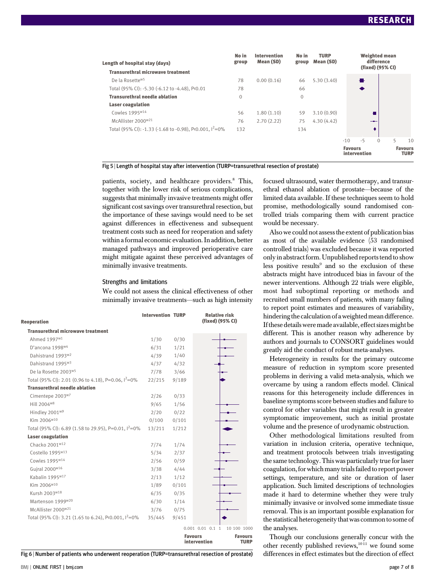| Length of hospital stay (days)                             | No in<br>group | <b>Intervention</b><br>Mean (SD) | No in<br>group | <b>TURP</b><br>Mean (SD) |                |                | <b>Weighted mean</b><br>difference<br>(fixed) (95% CI) |   |                               |
|------------------------------------------------------------|----------------|----------------------------------|----------------|--------------------------|----------------|----------------|--------------------------------------------------------|---|-------------------------------|
| <b>Transurethral microwave treatment</b>                   |                |                                  |                |                          |                |                |                                                        |   |                               |
| De la Rosette <sup>w5</sup>                                | 78             | 0.00(0.16)                       | 66             | 5.30(3.40)               |                | $\blacksquare$ |                                                        |   |                               |
| Total (95% Cl): -5.30 (-6.12 to -4.48), P<0.01             | 78             |                                  | 66             |                          |                | ٠              |                                                        |   |                               |
| <b>Transurethral needle ablation</b>                       | $\mathbf{0}$   |                                  | $\mathbf{0}$   |                          |                |                |                                                        |   |                               |
| <b>Laser coagulation</b>                                   |                |                                  |                |                          |                |                |                                                        |   |                               |
| Cowles 1995 <sup>w14</sup>                                 | 56             | 1.80(1.10)                       | 59             | 3.10(0.90)               |                |                |                                                        |   |                               |
| McAllister 2000 <sup>w21</sup>                             | 76             | 2.70(2.22)                       | 75             | 4.30(4.42)               |                |                | $-$                                                    |   |                               |
| Total (95% CI): -1.33 (-1.68 to -0.98), P<0.001, $1^2$ =0% | 132            |                                  | 134            |                          |                |                |                                                        |   |                               |
|                                                            |                |                                  |                |                          | $-10$          | $-5$           | $\Omega$                                               | 5 | 10                            |
|                                                            |                |                                  |                |                          | <b>Favours</b> | intervention   |                                                        |   | <b>Favours</b><br><b>TURP</b> |



patients, society, and healthcare providers.<sup>8</sup> This, together with the lower risk of serious complications, suggests that minimally invasive treatments might offer significant cost savings over transurethral resection, but the importance of these savings would need to be set against differences in effectiveness and subsequent treatment costs such as need for reoperation and safety within a formal economic evaluation. In addition, better managed pathways and improved perioperative care might mitigate against these perceived advantages of minimally invasive treatments.

#### Strengths and limitations

We could not assess the clinical effectiveness of other minimally invasive treatments—such as high intensity

| Reoperation                                                      | <b>Intervention TURP</b> |       | <b>Relative risk</b><br>(fixed) (95% CI)                 |
|------------------------------------------------------------------|--------------------------|-------|----------------------------------------------------------|
|                                                                  |                          |       |                                                          |
| <b>Transurethral microwave treatment</b>                         |                          |       |                                                          |
| Ahmed 1997 <sup>w1</sup>                                         | 1/30                     | 0/30  |                                                          |
| D'ancona 1998 <sup>w4</sup>                                      | 6/31                     | 1/21  |                                                          |
| Dahistrand 1993 <sup>w2</sup>                                    | 4/39                     | 1/40  |                                                          |
| Dahistrand 1995 <sup>w3</sup>                                    | 4/37                     | 4/32  |                                                          |
| De la Rosette 2003 <sup>w5</sup>                                 | 7/78                     | 3/66  |                                                          |
| Total (95% Cl): 2.01 (0.96 to 4.18), P=0.06, l <sup>2</sup> =0%  | 22/215                   | 9/189 |                                                          |
| <b>Transurethral needle ablation</b>                             |                          |       |                                                          |
| Cimentepe 2003 <sup>w7</sup>                                     | 2/26                     | 0/33  |                                                          |
| Hill 2004 <sup>w8</sup>                                          | 9/65                     | 1/56  |                                                          |
| Hindley 2001 <sup>w9</sup>                                       | 2/20                     | 0/22  |                                                          |
| Kim 2006 <sup>w10</sup>                                          | 0/100                    | 0/101 |                                                          |
| Total (95% CI): 6.89 (1.58 to 29.95), P=0.01, $1^2$ =0%          | 13/211                   | 1/212 |                                                          |
| <b>Laser coagulation</b>                                         |                          |       |                                                          |
| Chacko 2001 <sup>w12</sup>                                       | 7/74                     | 1/74  |                                                          |
| Costello 1995w13                                                 | 5/34                     | 2/37  |                                                          |
| Cowles 1995 <sup>w14</sup>                                       | 2/56                     | 0/59  |                                                          |
| Gujral 2000 <sup>w16</sup>                                       | 3/38                     | 4/44  |                                                          |
| Kabalin 1995w17                                                  | 2/13                     | 1/12  |                                                          |
| Kim 2006 <sup>w10</sup>                                          | 1/89                     | 0/101 |                                                          |
| Kursh 2003 <sup>w18</sup>                                        | 6/35                     | 0/35  |                                                          |
| Martenson 1999w20                                                | 6/30                     | 1/14  |                                                          |
| McAllister 2000 <sup>w21</sup>                                   | 3/76                     | 0/75  |                                                          |
| Total (95% Cl): 3.21 (1.65 to 6.24), P<0.001, l <sup>2</sup> =0% | 35/445                   | 9/451 |                                                          |
|                                                                  |                          |       | $0.001$ $0.01$ $0.1$ 1<br>10 100 1000                    |
|                                                                  |                          |       | <b>Favours</b><br><b>Favours</b><br>intervention<br>TURP |

Fig 6 <sup>|</sup> Number of patients who underwent reoperation (TURP=transurethral resection of prostate)

focused ultrasound, water thermotherapy, and transurethral ethanol ablation of prostate—because of the limited data available. If these techniques seem to hold promise, methodologically sound randomised controlled trials comparing them with current practice would be necessary.

Also we could not assess the extent of publication bias as most of the available evidence (53 randomised controlled trials) was excluded because it was reported only in abstract form. Unpublished reports tend to show less positive results<sup>9</sup> and so the exclusion of these abstracts might have introduced bias in favour of the newer interventions. Although 22 trials were eligible, most had suboptimal reporting or methods and recruited small numbers of patients, with many failing to report point estimates and measures of variability, hinderingthe calculation of a weighted mean difference. Ifthese details were made available, effect sizes might be different. This is another reason why adherence by authors and journals to CONSORT guidelines would greatly aid the conduct of robust meta-analyses.

Heterogeneity in results for the primary outcome measure of reduction in symptom score presented problems in deriving a valid meta-analysis, which we overcame by using a random effects model. Clinical reasons for this heterogeneity include differences in baseline symptoms score between studies and failure to control for other variables that might result in greater symptomatic improvement, such as initial prostate volume and the presence of urodynamic obstruction.

Other methodological limitations resulted from variation in inclusion criteria, operative technique, and treatment protocols between trials investigating the same technology. This was particularly true for laser coagulation, for which many trials failed to report power settings, temperature, and site or duration of laser application. Such limited descriptions of technologies made it hard to determine whether they were truly minimally invasive or involved some immediate tissue removal. This is an important possible explanation for the statistical heterogeneity that was common to some of the analyses.

Though our conclusions generally concur with the other recently published reviews,<sup>1011</sup> we found some differences in effect estimates but the direction of effect